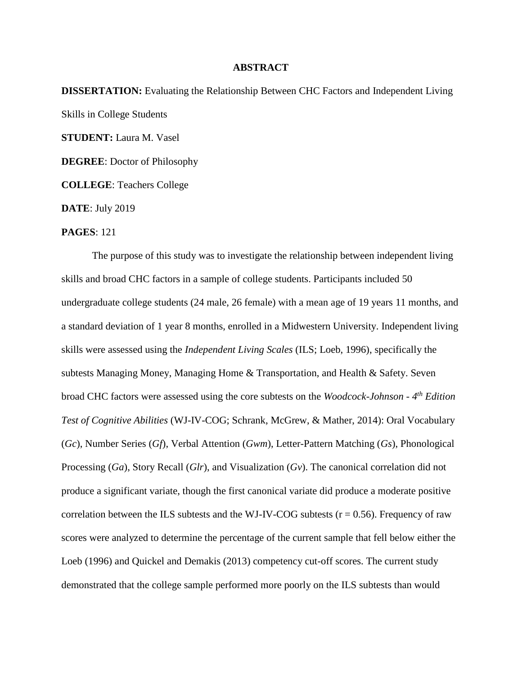## **ABSTRACT**

**DISSERTATION:** Evaluating the Relationship Between CHC Factors and Independent Living Skills in College Students **STUDENT:** Laura M. Vasel **DEGREE**: Doctor of Philosophy **COLLEGE**: Teachers College

**DATE**: July 2019

## **PAGES**: 121

The purpose of this study was to investigate the relationship between independent living skills and broad CHC factors in a sample of college students. Participants included 50 undergraduate college students (24 male, 26 female) with a mean age of 19 years 11 months, and a standard deviation of 1 year 8 months, enrolled in a Midwestern University. Independent living skills were assessed using the *Independent Living Scales* (ILS; Loeb, 1996), specifically the subtests Managing Money, Managing Home & Transportation, and Health & Safety. Seven broad CHC factors were assessed using the core subtests on the *Woodcock-Johnson - 4 th Edition Test of Cognitive Abilities* (WJ-IV-COG; Schrank, McGrew, & Mather, 2014): Oral Vocabulary (*Gc*), Number Series (*Gf*), Verbal Attention (*Gwm*), Letter-Pattern Matching (*Gs*), Phonological Processing (*Ga*), Story Recall (*Glr*), and Visualization (*Gv*). The canonical correlation did not produce a significant variate, though the first canonical variate did produce a moderate positive correlation between the ILS subtests and the WJ-IV-COG subtests ( $r = 0.56$ ). Frequency of raw scores were analyzed to determine the percentage of the current sample that fell below either the Loeb (1996) and Quickel and Demakis (2013) competency cut-off scores. The current study demonstrated that the college sample performed more poorly on the ILS subtests than would